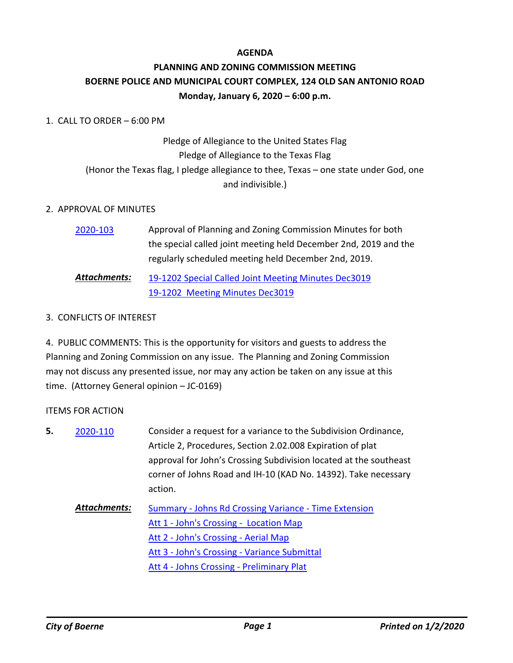#### **AGENDA**

## **PLANNING AND ZONING COMMISSION MEETING BOERNE POLICE AND MUNICIPAL COURT COMPLEX, 124 OLD SAN ANTONIO ROAD Monday, January 6, 2020 – 6:00 p.m.**

#### 1. CALL TO ORDER – 6:00 PM

# Pledge of Allegiance to the United States Flag Pledge of Allegiance to the Texas Flag (Honor the Texas flag, I pledge allegiance to thee, Texas – one state under God, one and indivisible.)

#### 2. APPROVAL OF MINUTES

| 2020-103     | Approval of Planning and Zoning Commission Minutes for both      |
|--------------|------------------------------------------------------------------|
|              | the special called joint meeting held December 2nd, 2019 and the |
|              | regularly scheduled meeting held December 2nd, 2019.             |
| Attachments: | 19-1202 Special Called Joint Meeting Minutes Dec3019             |
|              | 19-1202 Meeting Minutes Dec3019                                  |

#### 3. CONFLICTS OF INTEREST

4. PUBLIC COMMENTS: This is the opportunity for visitors and guests to address the Planning and Zoning Commission on any issue. The Planning and Zoning Commission may not discuss any presented issue, nor may any action be taken on any issue at this time. (Attorney General opinion – JC-0169)

#### ITEMS FOR ACTION

| 5. | 2020-110     | Consider a request for a variance to the Subdivision Ordinance,   |
|----|--------------|-------------------------------------------------------------------|
|    |              | Article 2, Procedures, Section 2.02.008 Expiration of plat        |
|    |              | approval for John's Crossing Subdivision located at the southeast |
|    |              | corner of Johns Road and IH-10 (KAD No. 14392). Take necessary    |
|    |              | action.                                                           |
|    | Attachments: | Summary - Johns Rd Crossing Variance - Time Extension             |
|    |              | Att 1 - John's Crossing - Location Map                            |
|    |              | Att 2 - John's Crossing - Aerial Map                              |
|    |              | Att 3 - John's Crossing - Variance Submittal                      |
|    |              | Att 4 - Johns Crossing - Preliminary Plat                         |
|    |              |                                                                   |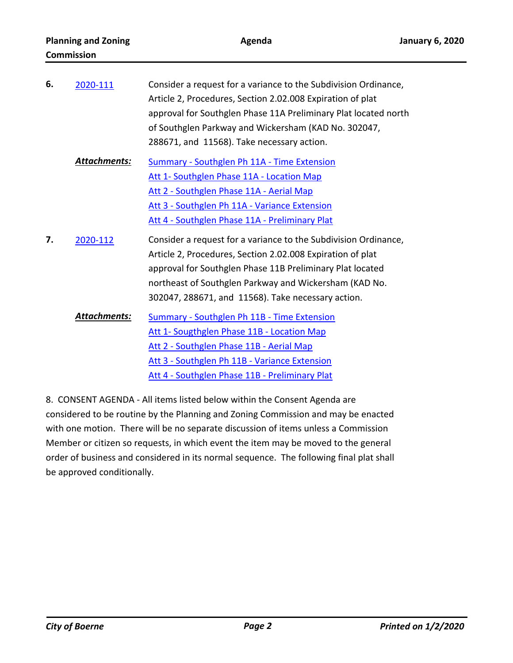| 6. | 2020-111            | Consider a request for a variance to the Subdivision Ordinance,<br>Article 2, Procedures, Section 2.02.008 Expiration of plat<br>approval for Southglen Phase 11A Preliminary Plat located north<br>of Southglen Parkway and Wickersham (KAD No. 302047,<br>288671, and 11568). Take necessary action.     |
|----|---------------------|------------------------------------------------------------------------------------------------------------------------------------------------------------------------------------------------------------------------------------------------------------------------------------------------------------|
|    | <b>Attachments:</b> | <b>Summary - Southglen Ph 11A - Time Extension</b>                                                                                                                                                                                                                                                         |
|    |                     | Att 1- Southglen Phase 11A - Location Map                                                                                                                                                                                                                                                                  |
|    |                     | Att 2 - Southglen Phase 11A - Aerial Map                                                                                                                                                                                                                                                                   |
|    |                     | Att 3 - Southglen Ph 11A - Variance Extension                                                                                                                                                                                                                                                              |
|    |                     | Att 4 - Southglen Phase 11A - Preliminary Plat                                                                                                                                                                                                                                                             |
| 7. | 2020-112            | Consider a request for a variance to the Subdivision Ordinance,<br>Article 2, Procedures, Section 2.02.008 Expiration of plat<br>approval for Southglen Phase 11B Preliminary Plat located<br>northeast of Southglen Parkway and Wickersham (KAD No.<br>302047, 288671, and 11568). Take necessary action. |
|    | <u>Attachments:</u> | <b>Summary - Southglen Ph 11B - Time Extension</b>                                                                                                                                                                                                                                                         |
|    |                     | Att 1- Sougthglen Phase 11B - Location Map                                                                                                                                                                                                                                                                 |
|    |                     | Att 2 - Southglen Phase 11B - Aerial Map                                                                                                                                                                                                                                                                   |
|    |                     | Att 3 - Southglen Ph 11B - Variance Extension                                                                                                                                                                                                                                                              |
|    |                     | Att 4 - Southglen Phase 11B - Preliminary Plat                                                                                                                                                                                                                                                             |
|    |                     |                                                                                                                                                                                                                                                                                                            |

8. CONSENT AGENDA - All items listed below within the Consent Agenda are considered to be routine by the Planning and Zoning Commission and may be enacted with one motion. There will be no separate discussion of items unless a Commission Member or citizen so requests, in which event the item may be moved to the general order of business and considered in its normal sequence. The following final plat shall be approved conditionally.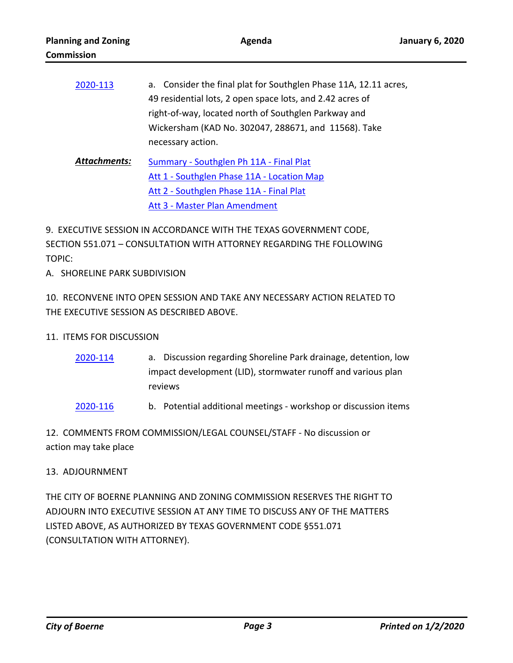| 2020-113     | a. Consider the final plat for Southglen Phase 11A, 12.11 acres,<br>49 residential lots, 2 open space lots, and 2.42 acres of |
|--------------|-------------------------------------------------------------------------------------------------------------------------------|
|              | right-of-way, located north of Southglen Parkway and                                                                          |
|              | Wickersham (KAD No. 302047, 288671, and 11568). Take                                                                          |
|              | necessary action.                                                                                                             |
| Attachments: | Summary - Southglen Ph 11A - Final Plat                                                                                       |
|              | Att 1 - Southglen Phase 11A - Location Map                                                                                    |

[Att 2 - Southglen Phase 11A - Final Plat](http://boerne.legistar.com/gateway.aspx?M=F&ID=f1c61c0d-7861-448d-b99c-dad9fc6ec9bb.pdf)

[Att 3 - Master Plan Amendment](http://boerne.legistar.com/gateway.aspx?M=F&ID=a8170123-5083-4e08-8fa3-a612c97cfee5.pdf)

9. EXECUTIVE SESSION IN ACCORDANCE WITH THE TEXAS GOVERNMENT CODE, SECTION 551.071 – CONSULTATION WITH ATTORNEY REGARDING THE FOLLOWING TOPIC:

A. SHORELINE PARK SUBDIVISION

10. RECONVENE INTO OPEN SESSION AND TAKE ANY NECESSARY ACTION RELATED TO THE EXECUTIVE SESSION AS DESCRIBED ABOVE.

## 11. ITEMS FOR DISCUSSION

- a. Discussion regarding Shoreline Park drainage, detention, low impact development (LID), stormwater runoff and various plan reviews [2020-114](http://boerne.legistar.com/gateway.aspx?m=l&id=/matter.aspx?key=5034)
- [2020-116](http://boerne.legistar.com/gateway.aspx?m=l&id=/matter.aspx?key=5036) b. Potential additional meetings workshop or discussion items

12. COMMENTS FROM COMMISSION/LEGAL COUNSEL/STAFF - No discussion or action may take place

## 13. ADJOURNMENT

THE CITY OF BOERNE PLANNING AND ZONING COMMISSION RESERVES THE RIGHT TO ADJOURN INTO EXECUTIVE SESSION AT ANY TIME TO DISCUSS ANY OF THE MATTERS LISTED ABOVE, AS AUTHORIZED BY TEXAS GOVERNMENT CODE §551.071 (CONSULTATION WITH ATTORNEY).